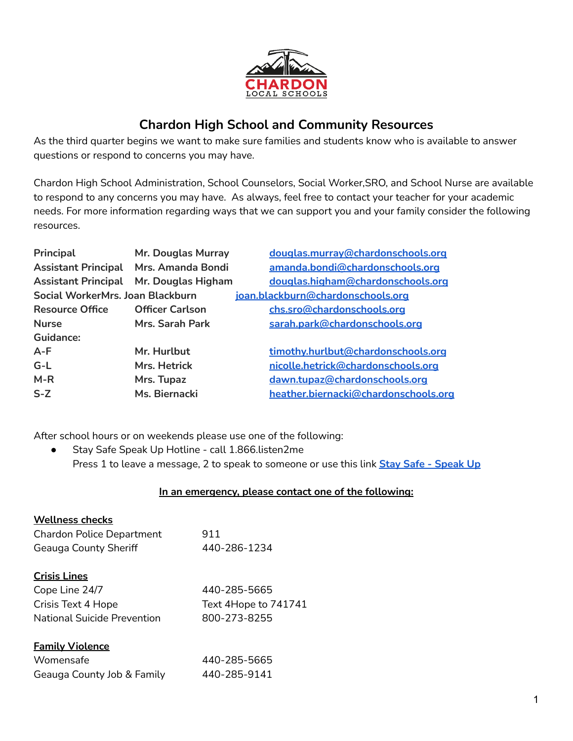

## **Chardon High School and Community Resources**

As the third quarter begins we want to make sure families and students know who is available to answer questions or respond to concerns you may have.

Chardon High School Administration, School Counselors, Social Worker,SRO, and School Nurse are available to respond to any concerns you may have. As always, feel free to contact your teacher for your academic needs. For more information regarding ways that we can support you and your family consider the following resources.

| Principal                             | Mr. Douglas Murray     | douglas.murray@chardonschools.org    |
|---------------------------------------|------------------------|--------------------------------------|
| Assistant Principal Mrs. Amanda Bondi |                        | amanda.bondi@chardonschools.org      |
| <b>Assistant Principal</b>            | Mr. Douglas Higham     | douglas.higham@chardonschools.org    |
| Social WorkerMrs. Joan Blackburn      |                        | joan.blackburn@chardonschools.org    |
| <b>Resource Office</b>                | <b>Officer Carlson</b> | chs.sro@chardonschools.org           |
| <b>Nurse</b>                          | Mrs. Sarah Park        | sarah.park@chardonschools.org        |
| Guidance:                             |                        |                                      |
| $A-F$                                 | Mr. Hurlbut            | timothy.hurlbut@chardonschools.org   |
| $G-L$                                 | Mrs. Hetrick           | nicolle.hetrick@chardonschools.org   |
| $M-R$                                 | Mrs. Tupaz             | dawn.tupaz@chardonschools.org        |
| $S-Z$                                 | Ms. Biernacki          | heather.biernacki@chardonschools.org |

After school hours or on weekends please use one of the following:

● Stay Safe Speak Up Hotline - call 1.866.listen2me Press 1 to leave a message, 2 to speak to someone or use this link **Stay Safe - [Speak](https://www.publicschoolworks.com/SHL/helpLine.asp?di=194&mi=9) Up**

## **In an emergency, please contact one of the following:**

| <b>Wellness checks</b>           |                      |
|----------------------------------|----------------------|
| <b>Chardon Police Department</b> | 911                  |
| <b>Geauga County Sheriff</b>     | 440-286-1234         |
| <b>Crisis Lines</b>              |                      |
| Cope Line 24/7                   | 440-285-5665         |
| Crisis Text 4 Hope               | Text 4Hope to 741741 |
| National Suicide Prevention      | 800-273-8255         |
| <b>Family Violence</b>           |                      |
| Womensafe                        | 440-285-5665         |
| Geauga County Job & Family       | 440-285-9141         |